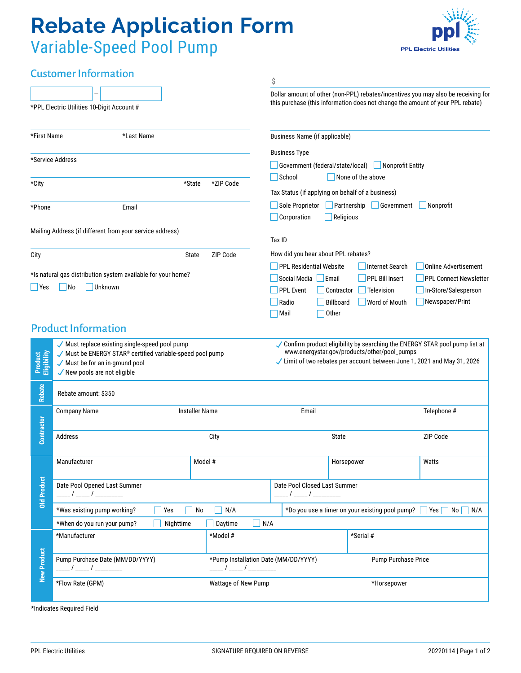# **Rebate Application Form** Variable-Speed Pool Pump



# Customer Information

|                                                              |                                                                                                           |                   | \$                                                                                                                                                                  |                                                 |                                         |  |
|--------------------------------------------------------------|-----------------------------------------------------------------------------------------------------------|-------------------|---------------------------------------------------------------------------------------------------------------------------------------------------------------------|-------------------------------------------------|-----------------------------------------|--|
|                                                              | *PPL Electric Utilities 10-Digit Account #                                                                |                   | Dollar amount of other (non-PPL) rebates/incentives you may also be receiving for<br>this purchase (this information does not change the amount of your PPL rebate) |                                                 |                                         |  |
| *First Name                                                  | *Last Name                                                                                                |                   | <b>Business Name (if applicable)</b>                                                                                                                                |                                                 |                                         |  |
|                                                              |                                                                                                           |                   | <b>Business Type</b>                                                                                                                                                |                                                 |                                         |  |
| *Service Address                                             |                                                                                                           |                   | Government (federal/state/local)<br>Nonprofit Entity                                                                                                                |                                                 |                                         |  |
|                                                              |                                                                                                           |                   | School<br>None of the above                                                                                                                                         |                                                 |                                         |  |
| *State<br>*City                                              |                                                                                                           | *ZIP Code         | Tax Status (if applying on behalf of a business)<br>Sole Proprietor<br>Partnership<br>  Government<br>Nonprofit                                                     |                                                 |                                         |  |
|                                                              |                                                                                                           |                   |                                                                                                                                                                     |                                                 |                                         |  |
| *Phone<br>Email                                              |                                                                                                           |                   | Corporation<br>$\Box$ Religious                                                                                                                                     |                                                 |                                         |  |
|                                                              | Mailing Address (if different from your service address)                                                  |                   | Tax ID                                                                                                                                                              |                                                 |                                         |  |
|                                                              |                                                                                                           |                   |                                                                                                                                                                     |                                                 |                                         |  |
| City                                                         |                                                                                                           | ZIP Code<br>State | How did you hear about PPL rebates?                                                                                                                                 |                                                 |                                         |  |
| *Is natural gas distribution system available for your home? |                                                                                                           |                   | <b>PPL Residential Website</b>                                                                                                                                      | <b>Internet Search</b>                          | <b>Online Advertisement</b>             |  |
| Yes                                                          | Unknown<br> No                                                                                            |                   | Social Media   Email                                                                                                                                                | PPL Bill Insert                                 | <b>PPL Connect Newsletter</b>           |  |
|                                                              |                                                                                                           |                   | <b>PPL Event</b><br>Contractor                                                                                                                                      | Television                                      | In-Store/Salesperson<br>Newspaper/Print |  |
|                                                              |                                                                                                           |                   | Billboard<br>Radio<br>Other<br>Mail                                                                                                                                 | Word of Mouth                                   |                                         |  |
| <b>Product Information</b>                                   |                                                                                                           |                   |                                                                                                                                                                     |                                                 |                                         |  |
|                                                              |                                                                                                           |                   |                                                                                                                                                                     |                                                 |                                         |  |
|                                                              | ✔ Must replace existing single-speed pool pump<br>Must be ENERGY STAR® certified variable-speed pool pump |                   | ✓ Confirm product eligibility by searching the ENERGY STAR pool pump list at<br>www.energystar.gov/products/other/pool_pumps                                        |                                                 |                                         |  |
| Product<br>Eligibility                                       | Must be for an in-ground pool                                                                             |                   | Limit of two rebates per account between June 1, 2021 and May 31, 2026                                                                                              |                                                 |                                         |  |
|                                                              | New pools are not eligible                                                                                |                   |                                                                                                                                                                     |                                                 |                                         |  |
| <b>Rebate</b>                                                | Rebate amount: \$350                                                                                      |                   |                                                                                                                                                                     |                                                 |                                         |  |
|                                                              | <b>Installer Name</b><br><b>Company Name</b>                                                              |                   | Email                                                                                                                                                               |                                                 | Telephone #                             |  |
| Contractor                                                   |                                                                                                           |                   |                                                                                                                                                                     |                                                 |                                         |  |
|                                                              | Address<br>City                                                                                           |                   | State                                                                                                                                                               |                                                 | ZIP Code                                |  |
|                                                              |                                                                                                           |                   |                                                                                                                                                                     |                                                 |                                         |  |
|                                                              | Manufacturer                                                                                              | Model #           |                                                                                                                                                                     | Horsepower                                      | Watts                                   |  |
| <b>Old Product</b>                                           |                                                                                                           |                   |                                                                                                                                                                     |                                                 |                                         |  |
|                                                              | Date Pool Opened Last Summer<br>____ / _____ / __________                                                 |                   | Date Pool Closed Last Summer                                                                                                                                        |                                                 |                                         |  |
|                                                              |                                                                                                           |                   |                                                                                                                                                                     |                                                 |                                         |  |
|                                                              | *Was existing pump working?<br>Yes                                                                        | N/A<br>No         |                                                                                                                                                                     | *Do you use a timer on your existing pool pump? | No  <br>N/A<br>Yes                      |  |
|                                                              | *When do you run your pump?<br>Nighttime                                                                  | Daytime           | N/A                                                                                                                                                                 |                                                 |                                         |  |
| <b>New Product</b>                                           | *Manufacturer                                                                                             | *Model #          |                                                                                                                                                                     | *Serial #                                       |                                         |  |
|                                                              |                                                                                                           |                   |                                                                                                                                                                     |                                                 |                                         |  |
|                                                              | Pump Purchase Date (MM/DD/YYYY)                                                                           |                   | *Pump Installation Date (MM/DD/YYYY)                                                                                                                                |                                                 | Pump Purchase Price                     |  |
|                                                              | *Flow Rate (GPM)<br>Wattage of New Pump                                                                   |                   |                                                                                                                                                                     | *Horsepower                                     |                                         |  |
|                                                              |                                                                                                           |                   |                                                                                                                                                                     |                                                 |                                         |  |
| *Indicates Required Field                                    |                                                                                                           |                   |                                                                                                                                                                     |                                                 |                                         |  |
|                                                              |                                                                                                           |                   |                                                                                                                                                                     |                                                 |                                         |  |
|                                                              |                                                                                                           |                   |                                                                                                                                                                     |                                                 |                                         |  |
| <b>PPL Electric Utilities</b>                                |                                                                                                           |                   | SIGNATURE REQUIRED ON REVERSE                                                                                                                                       |                                                 | 20220114   Page 1 of 2                  |  |